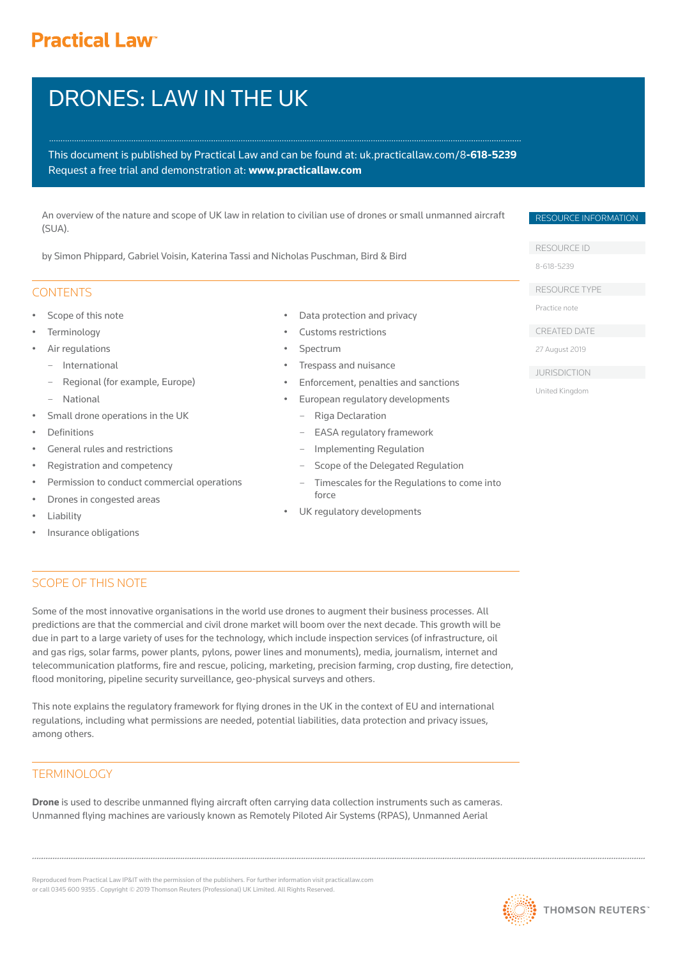# **Practical Law<sup>®</sup>**

# DRONES: LAW IN THE UK

This document is published by Practical Law and can be found [at: uk.practicallaw.com/](uk.practicallaw.com/8-618-5239)8**-618-5239** Request a free trial and demonstration at: **www.practicallaw.com**

An overview of the nature and scope of UK law in relation to civilian use of drones or small unmanned aircraft (SUA).

by Simon Phippard, Gabriel Voisin, Katerina Tassi and Nicholas Puschman, Bird & Bird

# **CONTENTS**

- Scope of this note
- **Terminology**
- Air regulations
	- International
	- Regional (for example, Europe)
- National
- Small drone operations in the UK
- **Definitions**
- General rules and restrictions
- Registration and competency
- Permission to conduct commercial operations
- Drones in congested areas
- **Liability**
- Insurance obligations
- Data protection and privacy
- Customs restrictions
- **Spectrum**
- Trespass and nuisance
- Enforcement, penalties and sanctions

- European regulatory developments
- Riga Declaration
- EASA regulatory framework
- Implementing Regulation
- Scope of the Delegated Regulation
- Timescales for the Regulations to come into force
- UK regulatory developments

# SCOPE OF THIS NOTE

Some of the most innovative organisations in the world use drones to augment their business processes. All predictions are that the commercial and civil drone market will boom over the next decade. This growth will be due in part to a large variety of uses for the technology, which include inspection services (of infrastructure, oil and gas rigs, solar farms, power plants, pylons, power lines and monuments), media, journalism, internet and telecommunication platforms, fire and rescue, policing, marketing, precision farming, crop dusting, fire detection, flood monitoring, pipeline security surveillance, geo-physical surveys and others.

This note explains the regulatory framework for flying drones in the UK in the context of EU and international regulations, including what permissions are needed, potential liabilities, data protection and privacy issues, among others.

# TERMINOLOGY

**Drone** is used to describe unmanned flying aircraft often carrying data collection instruments such as cameras. Unmanned flying machines are variously known as Remotely Piloted Air Systems (RPAS), Unmanned Aerial

Reproduced from Practical Law IP&IT with the permission of the publishers. For further information visit practicallaw.com or call 0345 600 9355 . Copyright © 2019 Thomson Reuters (Professional) UK Limited. All Rights Reserved.



# RESOURCE ID

RESOURCE INFORMATION

[8-618-5239](uk.practicallaw.com/8-618-5239) 

RESOURCE TYPE

Practice note

CREATED DATE

27 August 2019

- JURISDICTION
- United Kingdom

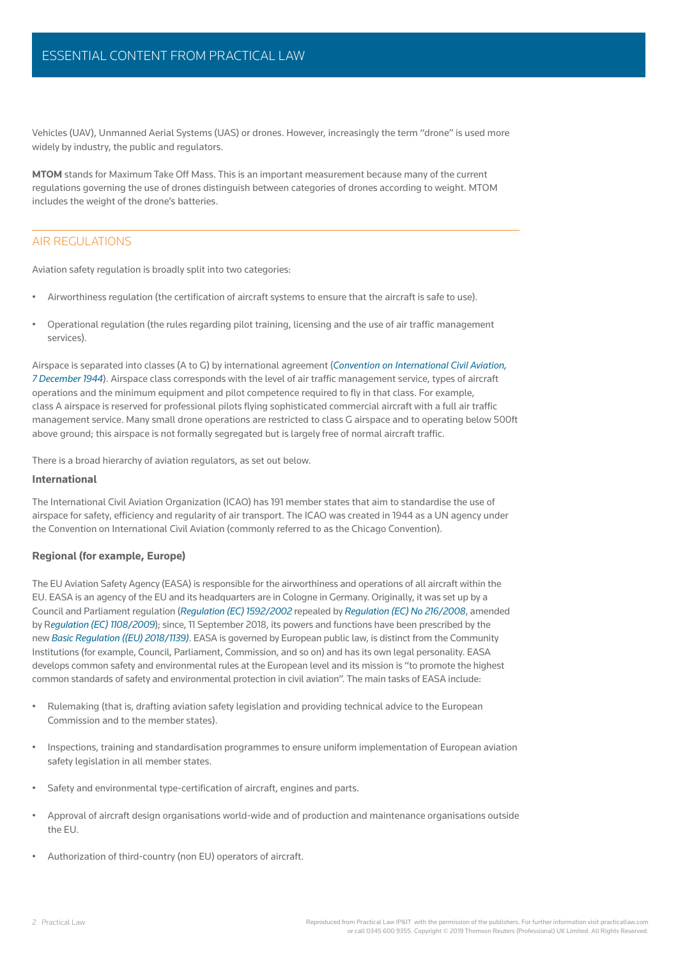Vehicles (UAV), Unmanned Aerial Systems (UAS) or drones. However, increasingly the term "drone" is used more widely by industry, the public and regulators.

**MTOM** stands for Maximum Take Off Mass. This is an important measurement because many of the current regulations governing the use of drones distinguish between categories of drones according to weight. MTOM includes the weight of the drone's batteries.

# AIR REGULATIONS

Aviation safety regulation is broadly split into two categories:

- Airworthiness regulation (the certification of aircraft systems to ensure that the aircraft is safe to use).
- Operational regulation (the rules regarding pilot training, licensing and the use of air traffic management services).

Airspace is separated into classes (A to G) by international agreement (*Convention on International Civil Aviation, 7 December 1944*). Airspace class corresponds with the level of air traffic management service, types of aircraft operations and the minimum equipment and pilot competence required to fly in that class. For example, class A airspace is reserved for professional pilots flying sophisticated commercial aircraft with a full air traffic [management service. Many small drone operations are restricted to class G airspace and to operating below 500ft](uk.practicallaw.com/8-618-5239)  above ground; this airspace is not formally segregated but is largely free of normal aircraft traffic.

There is a broad hierarchy of aviation regulators, as set out below.

#### **International**

The International Civil Aviation Organization (ICAO) has 191 member states that aim to standardise the use of airspace for safety, efficiency and regularity of air transport. The ICAO was created in 1944 as a UN agency under the Convention on International Civil Aviation (commonly referred to as the Chicago Convention).

#### **Regional (for example, Europe)**

The EU Aviation Safety Agency (EASA) is responsible for the airworthiness and operations of all aircraft within the EU. EASA is an agency of the EU and its headquarters are in Cologne in Germany. Originally, it was set up by a Council and Parliament regulation (*Regulation (EC) 1592/2002* repealed by *Regulation (EC) No 216/2008*, amended by R*egulation (EC) 1108/2009*); since, 11 September 2018, its powers and functions have been prescribed by the new *Basic Regulation ((EU) 2018/1139)*. EASA is governed by European public law, is distinct from the Community Institutions (for example, Council, Parliament, Commission, and so on) and has its own legal personality. EASA [develops common safety and environmental rules at the European level and its mission is "to promote the highest](uk.practicallaw.com/8-618-5239)  common standards of safety and environmental protection in civil aviation". The main tasks of EASA include:

- Rulemaking (that is, drafting aviation safety legislation and providing technical advice to the European Commission and to the member states).
- Inspections, training and standardisation programmes to ensure uniform implementation of European aviation safety legislation in all member states.
- Safety and environmental type-certification of aircraft, engines and parts.
- Approval of aircraft design organisations world-wide and of production and maintenance organisations outside the EU.
- Authorization of third-country (non EU) operators of aircraft.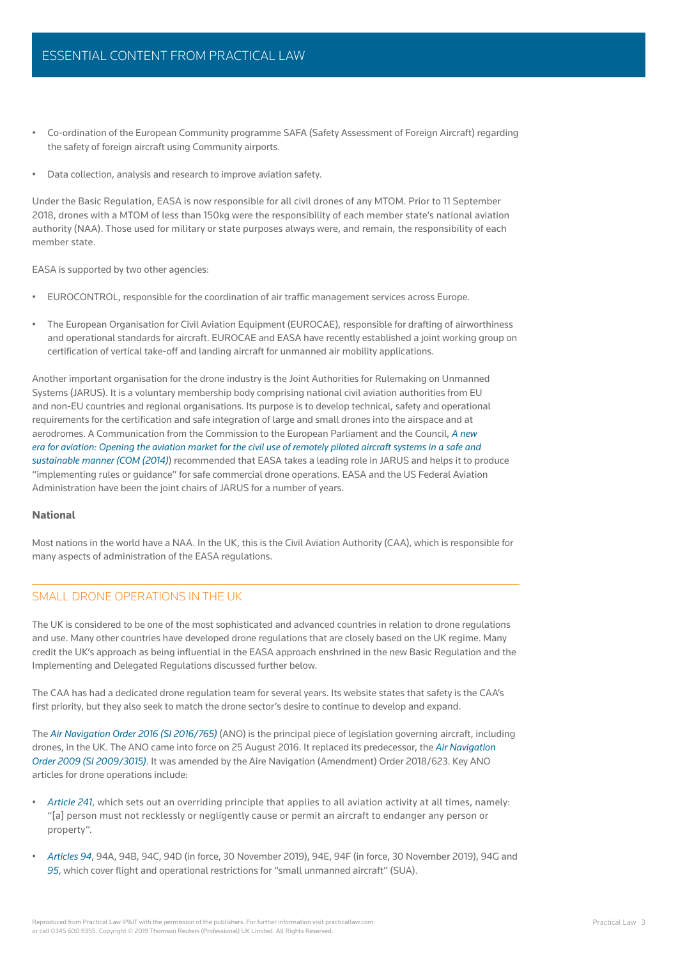- Co-ordination of the European Community programme SAFA (Safety Assessment of Foreign Aircraft) regarding the safety of foreign aircraft using Community airports.
- Data collection, analysis and research to improve aviation safety.

Under the Basic Regulation, EASA is now responsible for all civil drones of any MTOM. Prior to 11 September 2018, drones with a MTOM of less than 150kg were the responsibility of each member state's national aviation authority (NAA). Those used for military or state purposes always were, and remain, the responsibility of each member state.

EASA is supported by two other agencies:

- EUROCONTROL, responsible for the coordination of air traffic management services across Europe.
- The European Organisation for Civil Aviation Equipment (EUROCAE), responsible for drafting of airworthiness and operational standards for aircraft. EUROCAE and EASA have recently established a joint working group on certification of vertical take-off and landing aircraft for unmanned air mobility applications.

Another important organisation for the drone industry is the Joint Authorities for Rulemaking on Unmanned Systems (JARUS). It is a voluntary membership body comprising national civil aviation authorities from EU and non-EU countries and regional organisations. Its purpose is to develop technical, safety and operational requirements for the certification and safe integration of large and small drones into the airspace and at aerodromes. A Communication from the Commission to the European Parliament and the Council, *A new era for aviation: Opening the aviation market for the civil use of remotely piloted aircraft systems in a safe and sustainable manner (COM (2014)*) recommended that EASA takes a leading role in JARUS and helps it to produce ["implementing rules or guidance" for safe commercial drone operations. EASA and the US Federal Aviation](uk.practicallaw.com/8-618-5239)  Administration have been the joint chairs of JARUS for a number of years.

#### **National**

Most nations in the world have a NAA. In the UK, this is the Civil Aviation Authority (CAA), which is responsible for many aspects of administration of the EASA regulations.

## SMALL DRONE OPERATIONS IN THE UK

The UK is considered to be one of the most sophisticated and advanced countries in relation to drone regulations and use. Many other countries have developed drone regulations that are closely based on the UK regime. Many credit the UK's approach as being influential in the EASA approach enshrined in the new Basic Regulation and the Implementing and Delegated Regulations discussed further below.

The CAA has had a dedicated drone regulation team for several years. Its website states that safety is the CAA's first priority, but they also seek to match the drone sector's desire to continue to develop and expand.

The *Air Navigation Order 2016 (SI 2016/765)* (ANO) is the principal piece of legislation governing aircraft, including drones, in the UK. The ANO came into force on 25 August 2016. It replaced its predecessor, the *Air Navigation Order 2009 (SI 2009/3015)*. It was amended by the Aire Navigation (Amendment) Order 2018/623. Key ANO articles for drone operations include:

- *Article 241*, which sets out an overriding principle that applies to all aviation activity at all times, namely: ["\[a\] person must not recklessly or negligently cause or permit an aircraft to endanger any person or](uk.practicallaw.com/8-618-5239)  property".
- *Articles 94*, 94A, 94B, 94C, 94D (in force, 30 November 2019), 94E, 94F (in force, 30 November 2019), 94G and 95, which cover flight and operational restrictions for "small unmanned aircraft" (SUA).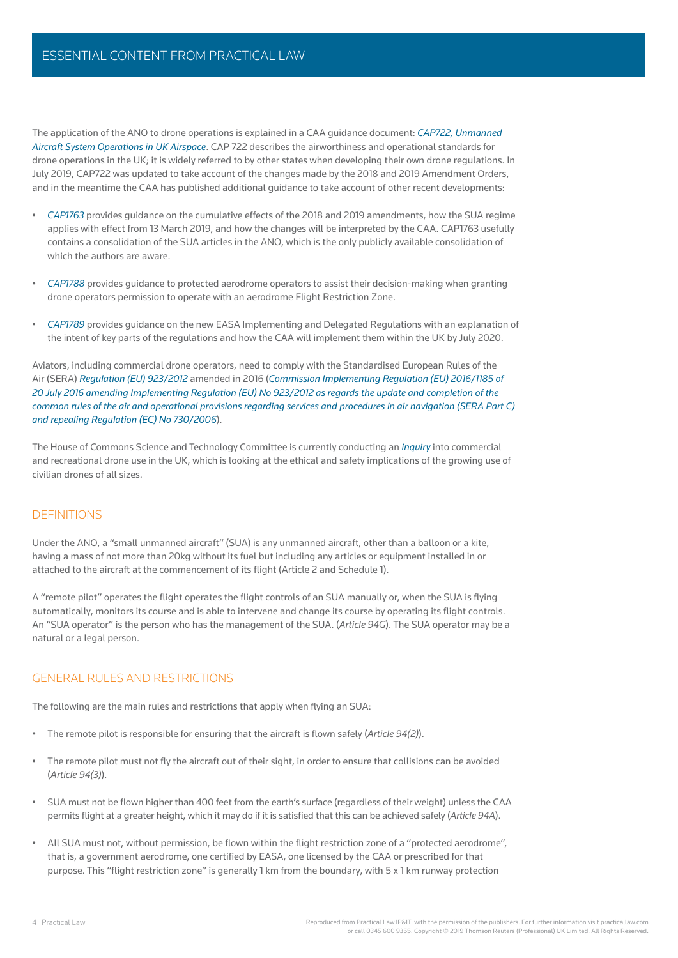The application of the ANO to drone operations is explained in a CAA guidance document: *CAP722, Unmanned Aircraft System Operations in UK Airspace*. CAP 722 describes the airworthiness and operational standards for [drone operations in the UK; it is widely referred to by other states when developing their own drone regulations. In](uk.practicallaw.com/8-618-5239)  July 2019, CAP722 was updated to take account of the changes made by the 2018 and 2019 Amendment Orders, and in the meantime the CAA has published additional guidance to take account of other recent developments:

- *CAP1763* provides guidance on the cumulative effects of the 2018 and 2019 amendments, how the SUA regime applies with effect from 13 March 2019, and how the changes will be interpreted by the CAA. CAP1763 usefully contains a consolidation of the SUA articles in the ANO, which is the only publicly available consolidation of which the authors are aware.
- *CAP1788* provides guidance to protected aerodrome operators to assist their decision-making when granting drone operators permission to operate with an aerodrome Flight Restriction Zone.
- *CAP1789* provides guidance on the new EASA Implementing and Delegated Regulations with an explanation of the intent of key parts of the regulations and how the CAA will implement them within the UK by July 2020.

Aviators, including commercial drone operators, need to comply with the Standardised European Rules of the Air (SERA) *Regulation (EU) 923/2012* amended in 2016 (*Commission Implementing Regulation (EU) 2016/1185 of 20 July 2016 amending Implementing Regulation (EU) No 923/2012 as regards the update and completion of the common rules of the air and operational provisions regarding services and procedures in air navigation (SERA Part C) and repealing Regulation (EC) No 730/2006*).

The House of Commons Science and Technology Committee is currently conducting an *inquiry* into commercial and recreational drone use in the UK, which is looking at the ethical and safety implications of the growing use of civilian drones of all sizes.

## DEFINITIONS

Under the ANO, a "small unmanned aircraft" (SUA) is any unmanned aircraft, other than a balloon or a kite, having a mass of not more than 20kg without its fuel but including any articles or equipment installed in or attached to the aircraft at the commencement of its flight (Article 2 and Schedule 1).

A "remote pilot" operates the flight operates the flight controls of an SUA manually or, when the SUA is flying automatically, monitors its course and is able to intervene and change its course by operating its flight controls. An "SUA operator" is the person who has the management of the SUA. (*Article 94G*). The SUA operator may be a natural or a legal person.

### GENERAL RULES AND RESTRICTIONS

The following are the main rules and restrictions that apply when flying an SUA:

- The remote pilot is responsible for ensuring that the aircraft is flown safely (*Article 94(2*)).
- The remote pilot must not fly the aircraft out of their sight, in order to ensure that collisions can be avoided (*Article 94(3)*).
- SUA must not be flown higher than 400 feet from the earth's surface (regardless of their weight) unless the CAA permits flight at a greater height, which it may do if it is satisfied that this can be achieved safely (*Article 94A*).
- All SUA must not, without permission, be flown within the flight restriction zone of a "protected aerodrome", that is, a government aerodrome, one certified by EASA, one licensed by the CAA or prescribed for that purpose. This "flight restriction zone" is generally 1 km from the boundary, with 5 x 1 km runway protection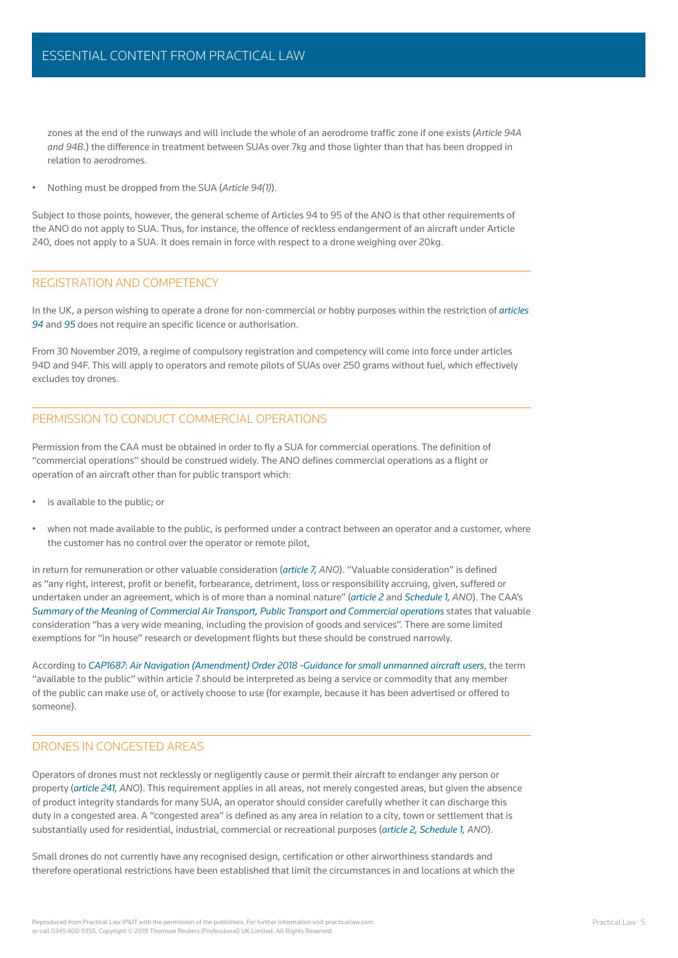zones at the end of the runways and will include the whole of an aerodrome traffic zone if one exists (Article 94A *and 94B*.) the difference in treatment between SUAs over 7kg and those lighter than that has been dropped in relation to aerodromes.

• Nothing must be dropped from the SUA (*Article 94(1)*).

Subject to those points, however, the general scheme of Articles 94 to 95 of the ANO is that other requirements of the ANO do not apply to SUA. Thus, for instance, the offence of reckless endangerment of an aircraft under Article 240, does not apply to a SUA. It does remain in force with respect to a drone weighing over 20kg.

### REGISTRATION AND COMPETENCY

In the UK, a person wishing to operate a drone for non-commercial or hobby purposes within the restriction of *articles*  94 and 95 does not require an specific licence or authorisation.

From 30 November 2019, a regime of compulsory registration and competency will come into force under articles 94D and 94F. This will apply to operators and remote pilots of SUAs over 250 grams without fuel, which effectively excludes toy drones.

## PERMISSION TO CONDUCT COMMERCIAL OPERATIONS

Permission from the CAA must be obtained in order to fly a SUA for commercial operations. The definition of "commercial operations" should be construed widely. The ANO defines commercial operations as a flight or operation of an aircraft other than for public transport which:

- is available to the public; or
- [when not made available to the public, is performed under a contract between an operator and a customer, where](uk.practicallaw.com/8-618-5239)  the customer has no control over the operator or remote pilot,

in return for remuneration or other valuable consideration (*article 7, ANO*). "Valuable consideration" is defined as "any right, interest, profit or benefit, forbearance, detriment, loss or responsibility accruing, given, suffered or undertaken under an agreement, which is of more than a nominal nature" (*article 2* and *Schedule 1, ANO*). The CAA's *Summary of the Meaning of Commercial Air Transport, Public Transport and Commercial operations states that valuable* consideration "has a very wide meaning, including the provision of goods and services". There are some limited exemptions for "in house" research or development flights but these should be construed narrowly.

According to *CAP1687: Air Navigation (Amendment) Order 2018 -Guidance for small unmanned aircraft users*, the term "available to the public" within article 7 should be interpreted as being a service or commodity that any member of the public can make use of, or actively choose to use (for example, because it has been advertised or offered to someone).

# DRONES IN CONGESTED AREAS

Operators of drones must not recklessly or negligently cause or permit their aircraft to endanger any person or property (*article 241, ANO*). This requirement applies in all areas, not merely congested areas, but given the absence of product integrity standards for many SUA, an operator should consider carefully whether it can discharge this duty in a congested area. A "congested area" is defined as any area in relation to a city, town or settlement that is substantially used for residential, industrial, commercial or recreational purposes (*article 2, Schedule 1, ANO*).

Small drones do not currently have any recognised design, certification or other airworthiness standards and therefore operational restrictions have been established that limit the circumstances in and locations at which the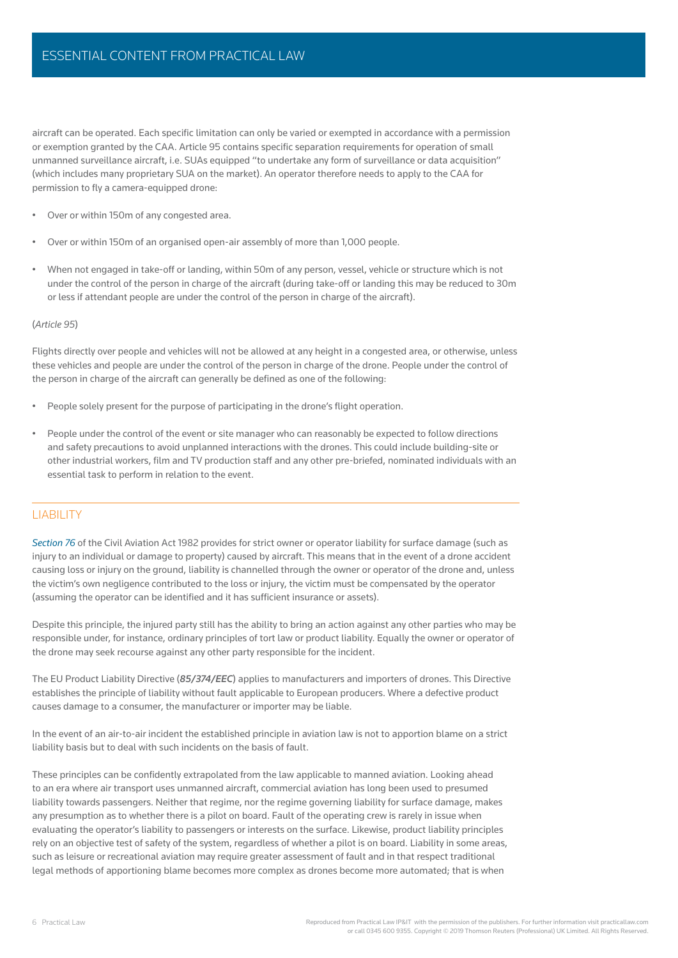aircraft can be operated. Each specific limitation can only be varied or exempted in accordance with a permission or exemption granted by the CAA. Article 95 contains specific separation requirements for operation of small unmanned surveillance aircraft, i.e. SUAs equipped "to undertake any form of surveillance or data acquisition" (which includes many proprietary SUA on the market). An operator therefore needs to apply to the CAA for permission to fly a camera-equipped drone:

- Over or within 150m of any congested area.
- Over or within 150m of an organised open-air assembly of more than 1,000 people.
- When not engaged in take-off or landing, within 50m of any person, vessel, vehicle or structure which is not under the control of the person in charge of the aircraft (during take-off or landing this may be reduced to 30m or less if attendant people are under the control of the person in charge of the aircraft).

#### (*Article 95*)

[Flights directly over people and vehicles will not be allowed at any height in a congested area, or otherwise, unless](uk.practicallaw.com/8-618-5239)  these vehicles and people are under the control of the person in charge of the drone. People under the control of the person in charge of the aircraft can generally be defined as one of the following:

- People solely present for the purpose of participating in the drone's flight operation.
- People under the control of the event or site manager who can reasonably be expected to follow directions and safety precautions to avoid unplanned interactions with the drones. This could include building-site or other industrial workers, film and TV production staff and any other pre-briefed, nominated individuals with an essential task to perform in relation to the event.

#### LIABILITY

*Section 76* of the Civil Aviation Act 1982 provides for strict owner or operator liability for surface damage (such as injury to an individual or damage to property) caused by aircraft. This means that in the event of a drone accident causing loss or injury on the ground, liability is channelled through the owner or operator of the drone and, unless the victim's own negligence contributed to the loss or injury, the victim must be compensated by the operator (assuming the operator can be identified and it has sufficient insurance or assets).

Despite this principle, the injured party still has the ability to bring an action against any other parties who may be responsible under, for instance, ordinary principles of tort law or product liability. Equally the owner or operator of the drone may seek recourse against any other party responsible for the incident.

The EU Product Liability Directive (*85/374/EEC*) applies to manufacturers and importers of drones. This Directive establishes the principle of liability without fault applicable to European producers. Where a defective product causes damage to a consumer, the manufacturer or importer may be liable.

In the event of an air-to-air incident the established principle in aviation law is not to apportion blame on a strict liability basis but to deal with such incidents on the basis of fault.

These principles can be confidently extrapolated from the law applicable to manned aviation. Looking ahead to an era where air transport uses unmanned aircraft, commercial aviation has long been used to presumed liability towards passengers. Neither that regime, nor the regime governing liability for surface damage, makes any presumption as to whether there is a pilot on board. Fault of the operating crew is rarely in issue when evaluating the operator's liability to passengers or interests on the surface. Likewise, product liability principles rely on an objective test of safety of the system, regardless of whether a pilot is on board. Liability in some areas, such as leisure or recreational aviation may require greater assessment of fault and in that respect traditional legal methods of apportioning blame becomes more complex as drones become more automated; that is when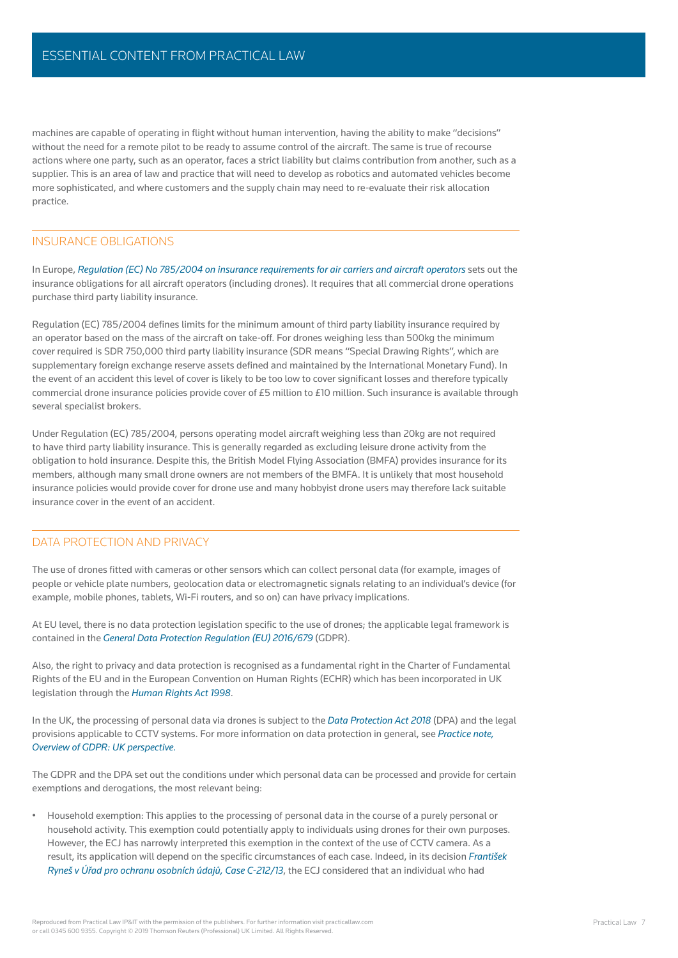machines are capable of operating in flight without human intervention, having the ability to make "decisions" without the need for a remote pilot to be ready to assume control of the aircraft. The same is true of recourse actions where one party, such as an operator, faces a strict liability but claims contribution from another, such as a supplier. This is an area of law and practice that will need to develop as robotics and automated vehicles become more sophisticated, and where customers and the supply chain may need to re-evaluate their risk allocation practice.

### INSURANCE OBLIGATIONS

In Europe, *Regulation (EC) No 785/2004 on insurance requirements for air carriers and aircraft operators* sets out the insurance obligations for all aircraft operators (including drones). It requires that all commercial drone operations purchase third party liability insurance.

Regulation (EC) 785/2004 defines limits for the minimum amount of third party liability insurance required by an operator based on the mass of the aircraft on take-off. For drones weighing less than 500kg the minimum cover required is SDR 750,000 third party liability insurance (SDR means "Special Drawing Rights", which are supplementary foreign exchange reserve assets defined and maintained by the International Monetary Fund). In the event of an accident this level of cover is likely to be too low to cover significant losses and therefore typically [commercial drone insurance policies provide cover of £5 million to £10 million. Such insurance is available through](uk.practicallaw.com/8-618-5239)  several specialist brokers.

Under Regulation (EC) 785/2004, persons operating model aircraft weighing less than 20kg are not required to have third party liability insurance. This is generally regarded as excluding leisure drone activity from the obligation to hold insurance. Despite this, the British Model Flying Association (BMFA) provides insurance for its members, although many small drone owners are not members of the BMFA. It is unlikely that most household insurance policies would provide cover for drone use and many hobbyist drone users may therefore lack suitable insurance cover in the event of an accident.

# DATA PROTECTION AND PRIVACY

The use of drones fitted with cameras or other sensors which can collect personal data (for example, images of people or vehicle plate numbers, geolocation data or electromagnetic signals relating to an individual's device (for example, mobile phones, tablets, Wi-Fi routers, and so on) can have privacy implications.

At EU level, there is no data protection legislation specific to the use of drones; the applicable legal framework is contained in the *General Data Protection Regulation (EU) 2016/679* (GDPR).

Also, the right to privacy and data protection is recognised as a fundamental right in the Charter of Fundamental Rights of the EU and in the European Convention on Human Rights (ECHR) which has been incorporated in UK legislation through the *Human Rights Act 1998*.

In the UK, the processing of personal data via drones is subject to the *Data Protection Act 2018* (DPA) and the legal provisions applicable to CCTV systems. For more information on data protection in general, see *Practice note, Overview of GDPR: UK perspective.* 

The GDPR and the DPA set out the conditions under which personal data can be processed and provide for certain exemptions and derogations, the most relevant being:

• Household exemption: This applies to the processing of personal data in the course of a purely personal or household activity. This exemption could potentially apply to individuals using drones for their own purposes. However, the ECJ has narrowly interpreted this exemption in the context of the use of CCTV camera. As a result, its application will depend on the specific circumstances of each case. Indeed, in its decision *František Ryneš v Úřad pro ochranu osobních údajů, Case C-212/13*, the ECJ considered that an individual who had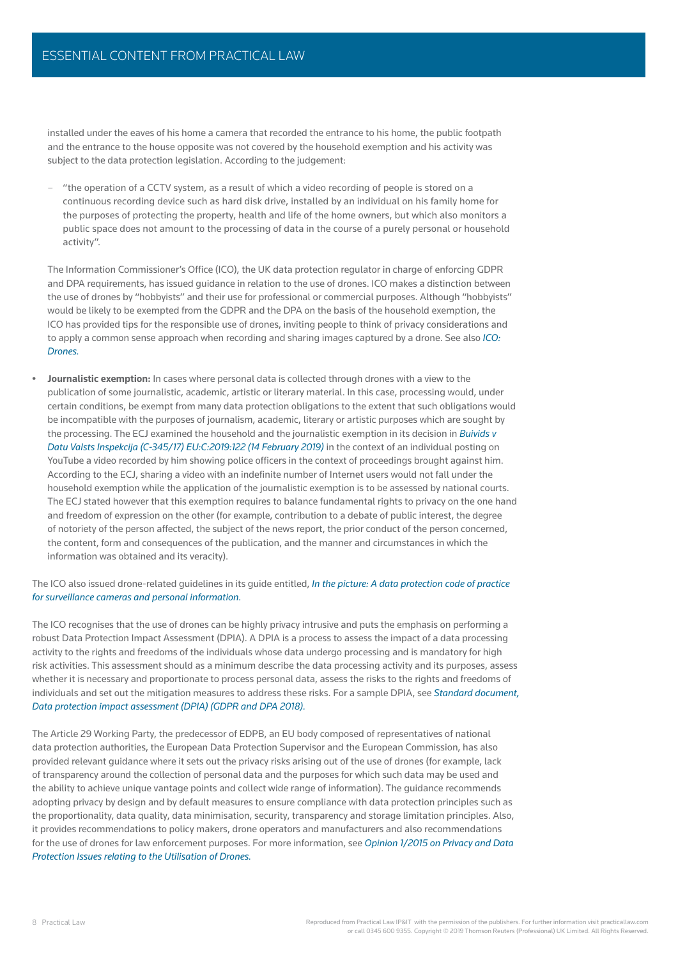installed under the eaves of his home a camera that recorded the entrance to his home, the public footpath and the entrance to the house opposite was not covered by the household exemption and his activity was subject to the data protection legislation. According to the judgement:

– "the operation of a CCTV system, as a result of which a video recording of people is stored on a continuous recording device such as hard disk drive, installed by an individual on his family home for the purposes of protecting the property, health and life of the home owners, but which also monitors a public space does not amount to the processing of data in the course of a purely personal or household activity".

The Information Commissioner's Office (ICO), the UK data protection regulator in charge of enforcing GDPR and DPA requirements, has issued guidance in relation to the use of drones. ICO makes a distinction between the use of drones by "hobbyists" and their use for professional or commercial purposes. Although "hobbyists" would be likely to be exempted from the GDPR and the DPA on the basis of the household exemption, the ICO has provided tips for the responsible use of drones, inviting people to think of privacy considerations and to apply a common sense approach when recording and sharing images captured by a drone. See also *ICO: Drones.*

**• Journalistic exemption:** In cases where personal data is collected through drones with a view to the publication of some journalistic, academic, artistic or literary material. In this case, processing would, under certain conditions, be exempt from many data protection obligations to the extent that such obligations would be incompatible with the purposes of journalism, academic, literary or artistic purposes which are sought by the processing. The ECJ examined the household and the journalistic exemption in its decision in *Buivids v Datu Valsts Inspekcija (C-345/17) EU:C:2019:122 (14 February 2019)* in the context of an individual posting on YouTube a video recorded by him showing police officers in the context of proceedings brought against him. According to the ECJ, sharing a video with an indefinite number of Internet users would not fall under the household exemption while the application of the journalistic exemption is to be assessed by national courts. The ECJ stated however that this exemption requires to balance fundamental rights to privacy on the one hand and freedom of expression on the other (for example, contribution to a debate of public interest, the degree of notoriety of the person affected, the subject of the news report, the prior conduct of the person concerned, the content, form and consequences of the publication, and the manner and circumstances in which the information was obtained and its veracity).

#### The ICO also issued drone-related guidelines in its guide entitled, *In the picture: A data protection code of practice for surveillance cameras and personal information.*

The ICO recognises that the use of drones can be highly privacy intrusive and puts the emphasis on performing a robust Data Protection Impact Assessment (DPIA). A DPIA is a process to assess the impact of a data processing activity to the rights and freedoms of the individuals whose data undergo processing and is mandatory for high [risk activities. This assessment should as a minimum describe the data processing activity and its purposes, assess](uk.practicallaw.com/8-618-5239)  whether it is necessary and proportionate to process personal data, assess the risks to the rights and freedoms of individuals and set out the mitigation measures to address these risks. For a sample DPIA, see *Standard document, Data protection impact assessment (DPIA) (GDPR and DPA 2018).*

The Article 29 Working Party, the predecessor of EDPB, an EU body composed of representatives of national data protection authorities, the European Data Protection Supervisor and the European Commission, has also provided relevant guidance where it sets out the privacy risks arising out of the use of drones (for example, lack of transparency around the collection of personal data and the purposes for which such data may be used and the ability to achieve unique vantage points and collect wide range of information). The guidance recommends adopting privacy by design and by default measures to ensure compliance with data protection principles such as the proportionality, data quality, data minimisation, security, transparency and storage limitation principles. Also, it provides recommendations to policy makers, drone operators and manufacturers and also recommendations for the use of drones for law enforcement purposes. For more information, see *Opinion 1/2015 on Privacy and Data Protection Issues relating to the Utilisation of Drones.*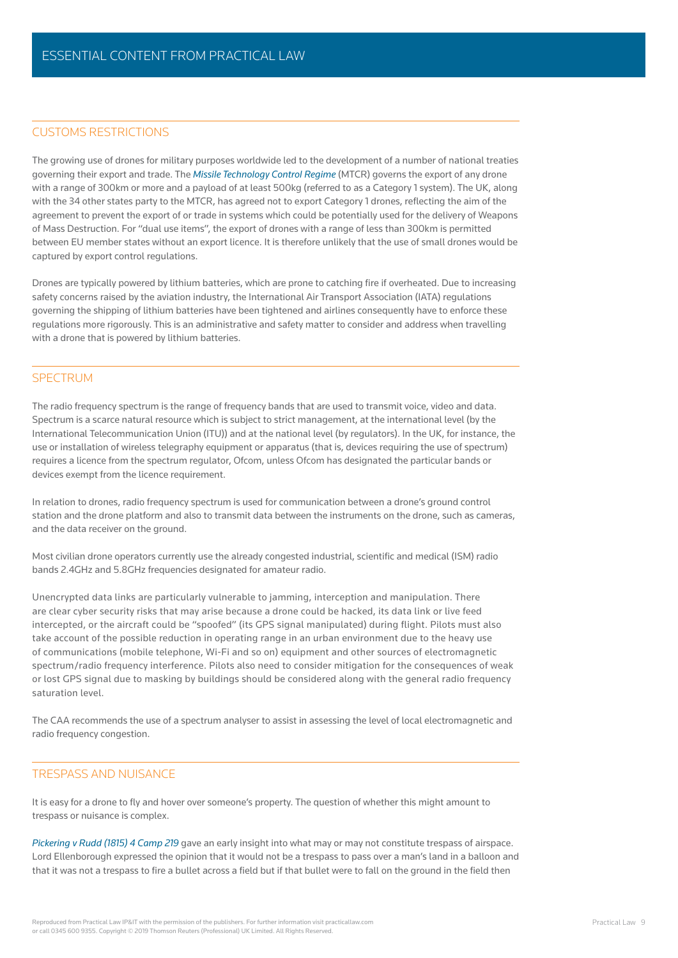# CUSTOMS RESTRICTIONS

The growing use of drones for military purposes worldwide led to the development of a number of national treaties governing their export and trade. The *Missile Technology Control Regime* (MTCR) governs the export of any drone with a range of 300km or more and a payload of at least 500kg (referred to as a Category 1 system). The UK, along with the 34 other states party to the MTCR, has agreed not to export Category 1 drones, reflecting the aim of the agreement to prevent the export of or trade in systems which could be potentially used for the delivery of Weapons of Mass Destruction. For "dual use items", the export of drones with a range of less than 300km is permitted between EU member states without an export licence. It is therefore unlikely that the use of small drones would be captured by export control regulations.

Drones are typically powered by lithium batteries, which are prone to catching fire if overheated. Due to increasing safety concerns raised by the aviation industry, the International Air Transport Association (IATA) regulations governing the shipping of lithium batteries have been tightened and airlines consequently have to enforce these regulations more rigorously. This is an administrative and safety matter to consider and address when travelling with a drone that is powered by lithium batteries.

## SPECTRUM

The radio frequency spectrum is the range of frequency bands that are used to transmit voice, video and data. Spectrum is a scarce natural resource which is subject to strict management, at the international level (by the International Telecommunication Union (ITU)) and at the national level (by regulators). In the UK, for instance, the use or installation of wireless telegraphy equipment or apparatus (that is, devices requiring the use of spectrum) requires a licence from the spectrum regulator, Ofcom, unless Ofcom has designated the particular bands or devices exempt from the licence requirement.

In relation to drones, radio frequency spectrum is used for communication between a drone's ground control station and the drone platform and also to transmit data between the instruments on the drone, such as cameras, and the data receiver on the ground.

Most civilian drone operators currently use the already congested industrial, scientific and medical (ISM) radio bands 2.4GHz and 5.8GHz frequencies designated for amateur radio.

Unencrypted data links are particularly vulnerable to jamming, interception and manipulation. There are clear cyber security risks that may arise because a drone could be hacked, its data link or live feed intercepted, or the aircraft could be "spoofed" (its GPS signal manipulated) during flight. Pilots must also take account of the possible reduction in operating range in an urban environment due to the heavy use of communications (mobile telephone, Wi-Fi and so on) equipment and other sources of electromagnetic spectrum/radio frequency interference. Pilots also need to consider mitigation for the consequences of weak or lost GPS signal due to masking by buildings should be considered along with the general radio frequency saturation level.

The CAA recommends the use of a spectrum analyser to assist in assessing the level of local electromagnetic and radio frequency congestion.

#### TRESPASS AND NUISANCE

It is easy for a drone to fly and hover over someone's property. The question of whether this might amount to trespass or nuisance is complex.

*Pickering v Rudd (1815) 4 Camp 219* gave an early insight into what may or may not constitute trespass of airspace. [Lord Ellenborough expressed the opinion that it would not be a trespass to pass over a man's land in a balloon and](uk.practicallaw.com/8-618-5239)  that it was not a trespass to fire a bullet across a field but if that bullet were to fall on the ground in the field then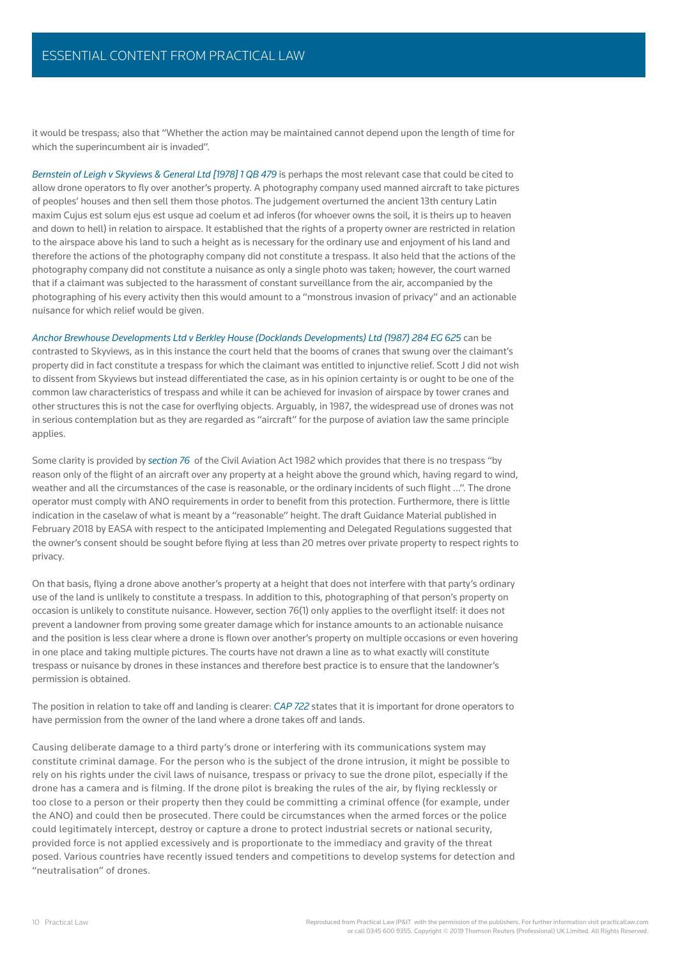it would be trespass; also that "Whether the action may be maintained cannot depend upon the length of time for which the superincumbent air is invaded".

*Bernstein of Leigh v Skyviews & General Ltd [1978] 1 QB 479* is perhaps the most relevant case that could be cited to allow drone operators to fly over another's property. A photography company used manned aircraft to take pictures of peoples' houses and then sell them those photos. The judgement overturned the ancient 13th century Latin maxim Cujus est solum ejus est usque ad coelum et ad inferos (for whoever owns the soil, it is theirs up to heaven and down to hell) in relation to airspace. It established that the rights of a property owner are restricted in relation to the airspace above his land to such a height as is necessary for the ordinary use and enjoyment of his land and therefore the actions of the photography company did not constitute a trespass. It also held that the actions of the photography company did not constitute a nuisance as only a single photo was taken; however, the court warned that if a claimant was subjected to the harassment of constant surveillance from the air, accompanied by the photographing of his every activity then this would amount to a "monstrous invasion of privacy" and an actionable nuisance for which relief would be given.

*Anchor Brewhouse Developments Ltd v Berkley House (Docklands Developments) Ltd (1987) 284 EG 625* can be

contrasted to Skyviews, as in this instance the court held that the booms of cranes that swung over the claimant's property did in fact constitute a trespass for which the claimant was entitled to injunctive relief. Scott J did not wish to dissent from Skyviews but instead differentiated the case, as in his opinion certainty is or ought to be one of the common law characteristics of trespass and while it can be achieved for invasion of airspace by tower cranes and other structures this is not the case for overflying objects. Arguably, in 1987, the widespread use of drones was not in serious contemplation but as they are regarded as "aircraft" for the purpose of aviation law the same principle applies.

Some clarity is provided by *section 76* of the Civil Aviation Act 1982 which provides that there is no trespass "by reason only of the flight of an aircraft over any property at a height above the ground which, having regard to wind, weather and all the circumstances of the case is reasonable, or the ordinary incidents of such flight ...". The drone operator must comply with ANO requirements in order to benefit from this protection. Furthermore, there is little indication in the caselaw of what is meant by a "reasonable" height. The draft Guidance Material published in February 2018 by EASA with respect to the anticipated Implementing and Delegated Regulations suggested that the owner's consent should be sought before flying at less than 20 metres over private property to respect rights to privacy.

On that basis, flying a drone above another's property at a height that does not interfere with that party's ordinary use of the land is unlikely to constitute a trespass. In addition to this, photographing of that person's property on occasion is unlikely to constitute nuisance. However, section 76(1) only applies to the overflight itself: it does not prevent a landowner from proving some greater damage which for instance amounts to an actionable nuisance and the position is less clear where a drone is flown over another's property on multiple occasions or even hovering in one place and taking multiple pictures. The courts have not drawn a line as to what exactly will constitute trespass or nuisance by drones in these instances and therefore best practice is to ensure that the landowner's permission is obtained.

The position in relation to take off and landing is clearer: *CAP 722* states that it is important for drone operators to have permission from the owner of the land where a drone takes off and lands.

Causing deliberate damage to a third party's drone or interfering with its communications system may constitute criminal damage. For the person who is the subject of the drone intrusion, it might be possible to rely on his rights under the civil laws of nuisance, trespass or privacy to sue the drone pilot, especially if the drone has a camera and is filming. If the drone pilot is breaking the rules of the air, by flying recklessly or too close to a person or their property then they could be committing a criminal offence (for example, under the ANO) and could then be prosecuted. There could be circumstances when the armed forces or the police could legitimately intercept, destroy or capture a drone to protect industrial secrets or national security, provided force is not applied excessively and is proportionate to the immediacy and gravity of the threat posed. Various countries have recently issued tenders and competitions to develop systems for detection and "neutralisation" of drones.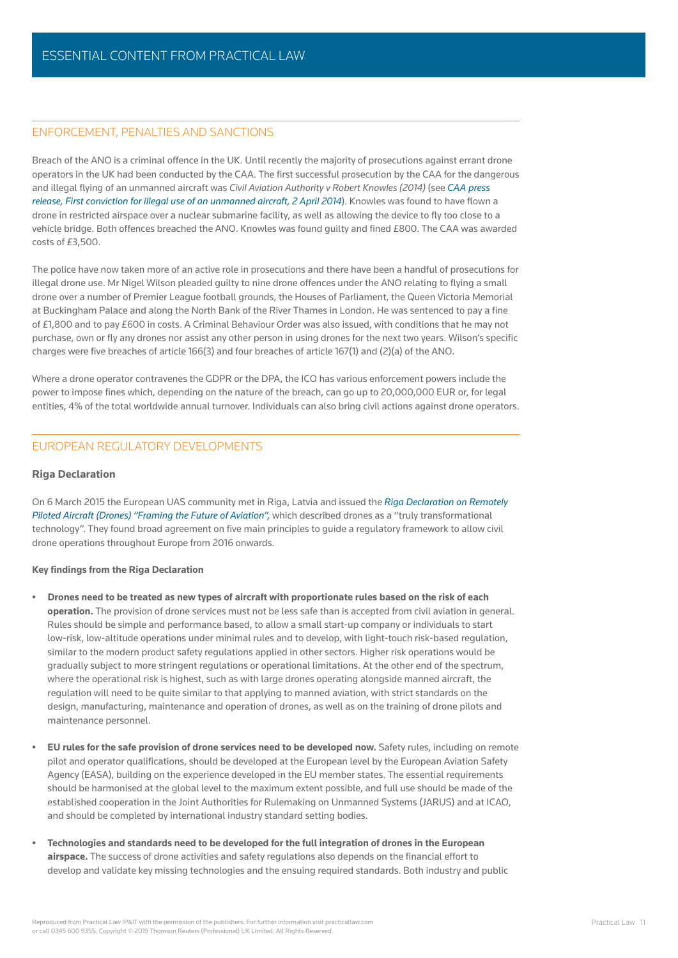# ENFORCEMENT, PENALTIES AND SANCTIONS

Breach of the ANO is a criminal offence in the UK. Until recently the majority of prosecutions against errant drone operators in the UK had been conducted by the CAA. The first successful prosecution by the CAA for the dangerous and illegal fl ying of an unmanned aircraft was *Civil Aviation Authority v Robert Knowles (2014)* (see *CAA press release, First conviction for illegal use of an unmanned aircraft, 2 April 2014*). Knowles was found to have flown a drone in restricted airspace over a nuclear submarine facility, as well as allowing the device to fly too close to a vehicle bridge. Both offences breached the ANO. Knowles was found guilty and fined £800. The CAA was awarded costs of £3,500.

The police have now taken more of an active role in prosecutions and there have been a handful of prosecutions for illegal drone use. Mr Nigel Wilson pleaded quilty to nine drone offences under the ANO relating to flying a small drone over a number of Premier League football grounds, the Houses of Parliament, the Queen Victoria Memorial at Buckingham Palace and along the North Bank of the River Thames in London. He was sentenced to pay a fine of £1,800 and to pay £600 in costs. A Criminal Behaviour Order was also issued, with conditions that he may not purchase, own or fly any drones nor assist any other person in using drones for the next two years. Wilson's specific charges were five breaches of article  $166(3)$  and four breaches of article  $167(1)$  and  $(2)(a)$  of the ANO.

Where a drone operator contravenes the GDPR or the DPA, the ICO has various enforcement powers include the power to impose fines which, depending on the nature of the breach, can go up to 20,000,000 EUR or, for legal entities, 4% of the total worldwide annual turnover. Individuals can also bring civil actions against drone operators.

# EUROPEAN REGULATORY DEVELOPMENTS

#### **Riga Declaration**

On 6 March 2015 the European UAS community met in Riga, Latvia and issued the *Riga Declaration on Remotely Piloted Aircraft (Drones) "Framing the Future of Aviation",* which described drones as a "truly transformational technology". They found broad agreement on five main principles to guide a regulatory framework to allow civil drone operations throughout Europe from 2016 onwards.

#### **Key findings from the Riga Declaration**

- **Drones need to be treated as new types of aircraft with proportionate rules based on the risk of each operation.** The provision of drone services must not be less safe than is accepted from civil aviation in general. Rules should be simple and performance based, to allow a small start-up company or individuals to start low-risk, low-altitude operations under minimal rules and to develop, with light-touch risk-based regulation, similar to the modern product safety regulations applied in other sectors. Higher risk operations would be gradually subject to more stringent regulations or operational limitations. At the other end of the spectrum, where the operational risk is highest, such as with large drones operating alongside manned aircraft, the regulation will need to be quite similar to that applying to manned aviation, with strict standards on the design, manufacturing, maintenance and operation of drones, as well as on the training of drone pilots and maintenance personnel.
- **EU rules for the safe provision of drone services need to be developed now.** Safety rules, including on remote pilot and operator qualifications, should be developed at the European level by the European Aviation Safety Agency (EASA), building on the experience developed in the EU member states. The essential requirements should be harmonised at the global level to the maximum extent possible, and full use should be made of the established cooperation in the Joint Authorities for Rulemaking on Unmanned Systems (JARUS) and at ICAO, and should be completed by international industry standard setting bodies.
- **Technologies and standards need to be developed for the full integration of drones in the European airspace.** The success of drone activities and safety regulations also depends on the financial effort to develop and validate key missing technologies and the ensuing required standards. Both industry and public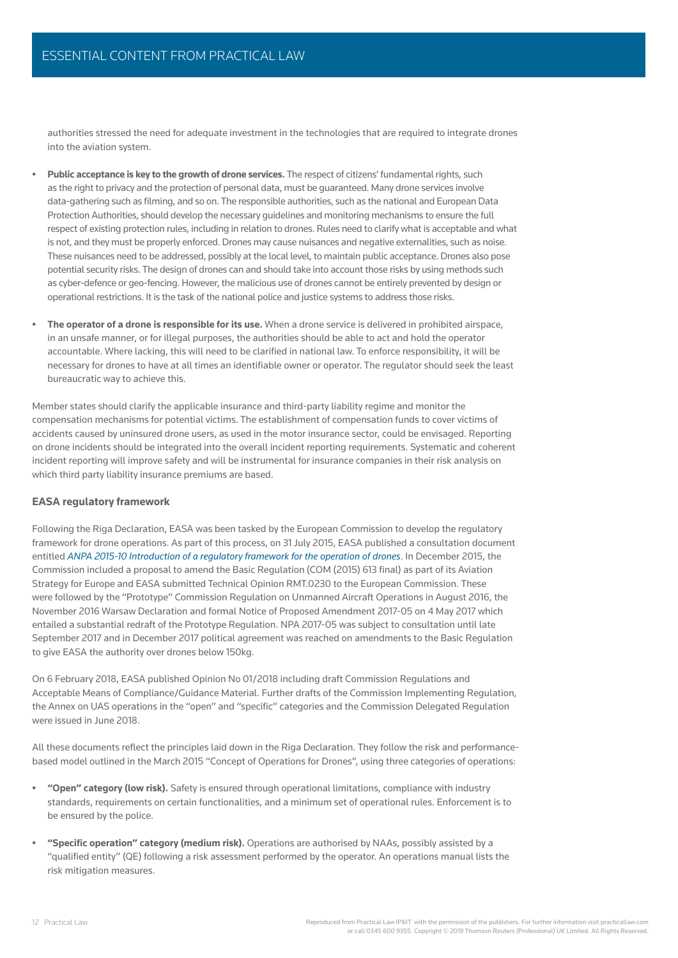authorities stressed the need for adequate investment in the technologies that are required to integrate drones into the aviation system.

- **Public acceptance is key to the growth of drone services.** The respect of citizens' fundamental rights, such as the right to privacy and the protection of personal data, must be guaranteed. Many drone services involve data-gathering such as filming, and so on. The responsible authorities, such as the national and European Data Protection Authorities, should develop the necessary guidelines and monitoring mechanisms to ensure the full respect of existing protection rules, including in relation to drones. Rules need to clarify what is acceptable and what is not, and they must be properly enforced. Drones may cause nuisances and negative externalities, such as noise. These nuisances need to be addressed, possibly at the local level, to maintain public acceptance. Drones also pose potential security risks. The design of drones can and should take into account those risks by using methods such as cyber-defence or geo-fencing. However, the malicious use of drones cannot be entirely prevented by design or operational restrictions. It is the task of the national police and justice systems to address those risks.
- **The operator of a drone is responsible for its use.** When a drone service is delivered in prohibited airspace, in an unsafe manner, or for illegal purposes, the authorities should be able to act and hold the operator accountable. Where lacking, this will need to be clarified in national law. To enforce responsibility, it will be necessary for drones to have at all times an identifiable owner or operator. The regulator should seek the least bureaucratic way to achieve this.

Member states should clarify the applicable insurance and third-party liability regime and monitor the compensation mechanisms for potential victims. The establishment of compensation funds to cover victims of accidents caused by uninsured drone users, as used in the motor insurance sector, could be envisaged. Reporting on drone incidents should be integrated into the overall incident reporting requirements. Systematic and coherent incident reporting will improve safety and will be instrumental for insurance companies in their risk analysis on which third party liability insurance premiums are based.

#### **EASA regulatory framework**

Following the Riga Declaration, EASA was been tasked by the European Commission to develop the regulatory framework for drone operations. As part of this process, on 31 July 2015, EASA published a consultation document entitled *ANPA 2015-10 Introduction of a regulatory framework for the operation of drones*. In December 2015, the Commission included a proposal to amend the Basic Regulation (COM (2015) 613 final) as part of its Aviation Strategy for Europe and EASA submitted Technical Opinion RMT.0230 to the European Commission. These were followed by the "Prototype" Commission Regulation on Unmanned Aircraft Operations in August 2016, the November 2016 Warsaw Declaration and formal Notice of Proposed Amendment 2017-05 on 4 May 2017 which entailed a substantial redraft of the Prototype Regulation. NPA 2017-05 was subject to consultation until late September 2017 and in December 2017 political agreement was reached on amendments to the Basic Regulation to give EASA the authority over drones below 150kg.

On 6 February 2018, EASA published Opinion No 01/2018 including draft Commission Regulations and Acceptable Means of Compliance/Guidance Material. Further drafts of the Commission Implementing Regulation, the Annex on UAS operations in the "open" and "specific" categories and the Commission Delegated Regulation were issued in June 2018.

All these documents reflect the principles laid down in the Riga Declaration. They follow the risk and performancebased model outlined in the March 2015 "Concept of Operations for Drones", using three categories of operations:

- **"Open" category (low risk).** Safety is ensured through operational limitations, compliance with industry standards, requirements on certain functionalities, and a minimum set of operational rules. Enforcement is to be ensured by the police.
- **"Specific operation" category (medium risk).** Operations are authorised by NAAs, possibly assisted by a "qualified entity" (QE) following a risk assessment performed by the operator. An operations manual lists the risk mitigation measures.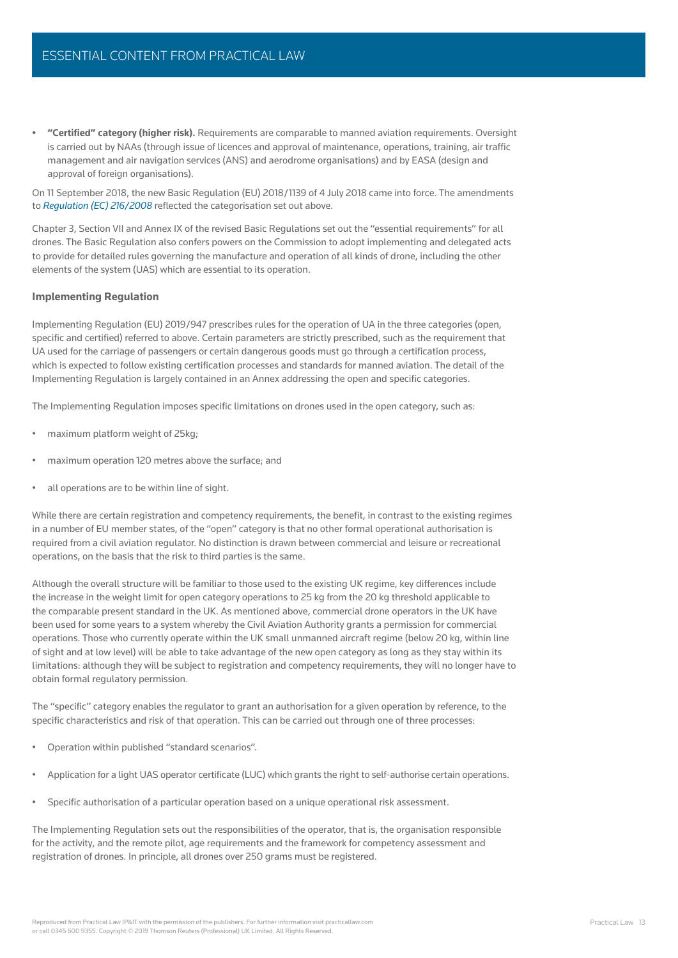**• "Certifi ed" category (higher risk).** Requirements are comparable to manned aviation requirements. Oversight is carried out by NAAs (through issue of licences and approval of maintenance, operations, training, air traffic management and air navigation services (ANS) and aerodrome organisations) and by EASA (design and approval of foreign organisations).

On 11 September 2018, the new Basic Regulation (EU) 2018/1139 of 4 July 2018 came into force. The amendments to *Regulation (EC) 216/2008* reflected the categorisation set out above.

Chapter 3, Section VII and Annex IX of the revised Basic Regulations set out the "essential requirements" for all drones. The Basic Regulation also confers powers on the Commission to adopt implementing and delegated acts to provide for detailed rules governing the manufacture and operation of all kinds of drone, including the other elements of the system (UAS) which are essential to its operation.

#### **Implementing Regulation**

Implementing Regulation (EU) 2019/947 prescribes rules for the operation of UA in the three categories (open, specific and certified) referred to above. Certain parameters are strictly prescribed, such as the requirement that UA used for the carriage of passengers or certain dangerous goods must go through a certification process, which is expected to follow existing certification processes and standards for manned aviation. The detail of the Implementing Regulation is largely contained in an Annex addressing the open and specific categories.

The Implementing Regulation imposes specific limitations on drones used in the open category, such as:

- maximum platform weight of 25kg;
- maximum operation 120 metres above the surface; and
- all operations are to be within line of sight.

While there are certain registration and competency requirements, the benefit, in contrast to the existing regimes in a number of EU member states, of the "open" category is that no other formal operational authorisation is required from a civil aviation regulator. No distinction is drawn between commercial and leisure or recreational operations, on the basis that the risk to third parties is the same.

Although the overall structure will be familiar to those used to the existing UK regime, key differences include the increase in the weight limit for open category operations to 25 kg from the 20 kg threshold applicable to the comparable present standard in the UK. As mentioned above, commercial drone operators in the UK have been used for some years to a system whereby the Civil Aviation Authority grants a permission for commercial operations. Those who currently operate within the UK small unmanned aircraft regime (below 20 kg, within line of sight and at low level) will be able to take advantage of the new open category as long as they stay within its [limitations: although they will be subject to registration and competency requirements, they will no longer have to](uk.practicallaw.com/8-618-5239)  obtain formal regulatory permission.

The "specific" category enables the regulator to grant an authorisation for a given operation by reference, to the specific characteristics and risk of that operation. This can be carried out through one of three processes:

- Operation within published "standard scenarios".
- Application for a light UAS operator certificate (LUC) which grants the right to self-authorise certain operations.
- Specific authorisation of a particular operation based on a unique operational risk assessment.

The Implementing Regulation sets out the responsibilities of the operator, that is, the organisation responsible for the activity, and the remote pilot, age requirements and the framework for competency assessment and registration of drones. In principle, all drones over 250 grams must be registered.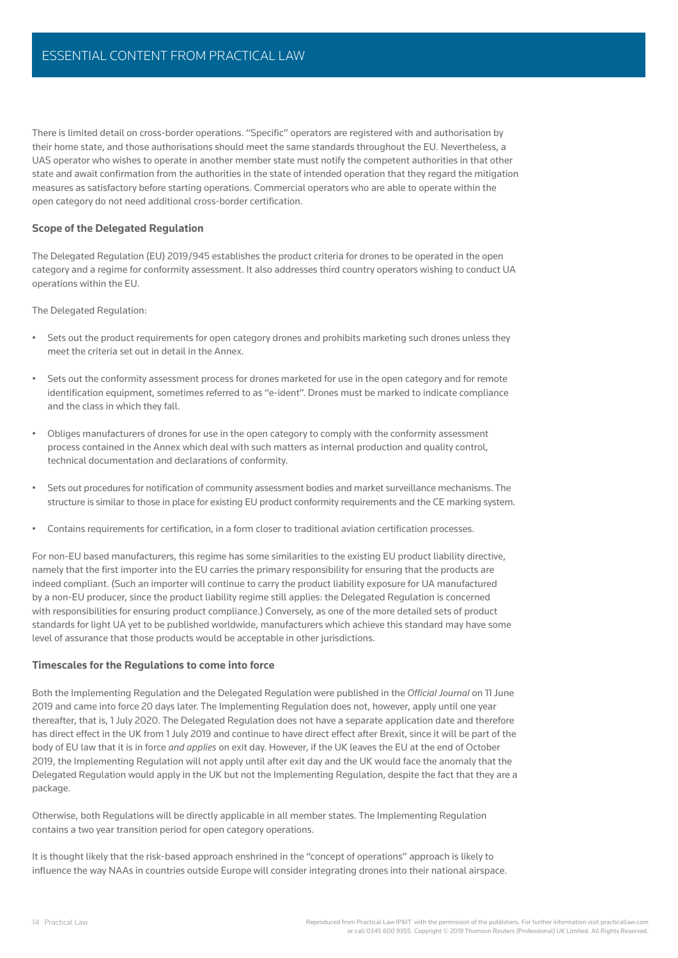There is limited detail on cross-border operations. "Specific" operators are registered with and authorisation by their home state, and those authorisations should meet the same standards throughout the EU. Nevertheless, a UAS operator who wishes to operate in another member state must notify the competent authorities in that other state and await confirmation from the authorities in the state of intended operation that they regard the mitigation measures as satisfactory before starting operations. Commercial operators who are able to operate within the open category do not need additional cross-border certification.

#### **Scope of the Delegated Regulation**

The Delegated Regulation (EU) 2019/945 establishes the product criteria for drones to be operated in the open category and a regime for conformity assessment. It also addresses third country operators wishing to conduct UA operations within the EU.

The Delegated Regulation:

- Sets out the product requirements for open category drones and prohibits marketing such drones unless they meet the criteria set out in detail in the Annex.
- Sets out the conformity assessment process for drones marketed for use in the open category and for remote identification equipment, sometimes referred to as "e-ident". Drones must be marked to indicate compliance and the class in which they fall.
- Obliges manufacturers of drones for use in the open category to comply with the conformity assessment process contained in the Annex which deal with such matters as internal production and quality control, technical documentation and declarations of conformity.
- Sets out procedures for notification of community assessment bodies and market surveillance mechanisms. The structure is similar to those in place for existing EU product conformity requirements and the CE marking system.
- Contains requirements for certification, in a form closer to traditional aviation certification processes.

For non-EU based manufacturers, this regime has some similarities to the existing EU product liability directive, namely that the first importer into the EU carries the primary responsibility for ensuring that the products are indeed compliant. (Such an importer will continue to carry the product liability exposure for UA manufactured by a non-EU producer, since the product liability regime still applies: the Delegated Regulation is concerned with responsibilities for ensuring product compliance.) Conversely, as one of the more detailed sets of product standards for light UA yet to be published worldwide, manufacturers which achieve this standard may have some level of assurance that those products would be acceptable in other jurisdictions.

#### **Timescales for the Regulations to come into force**

Both the Implementing Regulation and the Delegated Regulation were published in the *Offi cial Journal* on 11 June 2019 and came into force 20 days later. The Implementing Regulation does not, however, apply until one year thereafter, that is, 1 July 2020. The Delegated Regulation does not have a separate application date and therefore has direct effect in the UK from 1 July 2019 and continue to have direct effect after Brexit, since it will be part of the body of EU law that it is in force *and applies* on exit day. However, if the UK leaves the EU at the end of October 2019, the Implementing Regulation will not apply until after exit day and the UK would face the anomaly that the Delegated Regulation would apply in the UK but not the Implementing Regulation, despite the fact that they are a package.

Otherwise, both Regulations will be directly applicable in all member states. The Implementing Regulation contains a two year transition period for open category operations.

It is thought likely that the risk-based approach enshrined in the "concept of operations" approach is likely to influence the way NAAs in countries outside Europe will consider integrating drones into their national airspace.